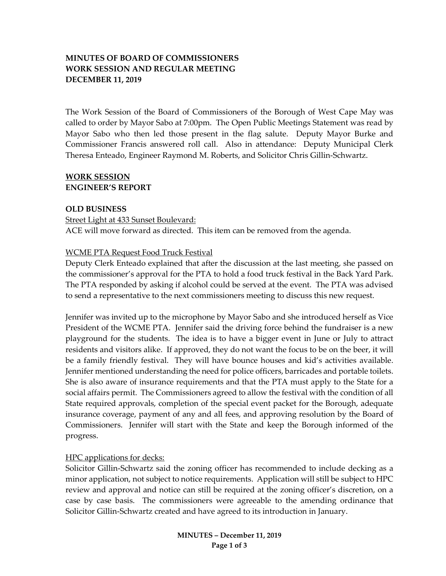# **MINUTES OF BOARD OF COMMISSIONERS WORK SESSION AND REGULAR MEETING DECEMBER 11, 2019**

The Work Session of the Board of Commissioners of the Borough of West Cape May was called to order by Mayor Sabo at 7:00pm. The Open Public Meetings Statement was read by Mayor Sabo who then led those present in the flag salute. Deputy Mayor Burke and Commissioner Francis answered roll call. Also in attendance: Deputy Municipal Clerk Theresa Enteado, Engineer Raymond M. Roberts, and Solicitor Chris Gillin-Schwartz.

## **WORK SESSION ENGINEER'S REPORT**

#### **OLD BUSINESS**

Street Light at 433 Sunset Boulevard: ACE will move forward as directed. This item can be removed from the agenda.

#### WCME PTA Request Food Truck Festival

Deputy Clerk Enteado explained that after the discussion at the last meeting, she passed on the commissioner's approval for the PTA to hold a food truck festival in the Back Yard Park. The PTA responded by asking if alcohol could be served at the event. The PTA was advised to send a representative to the next commissioners meeting to discuss this new request.

Jennifer was invited up to the microphone by Mayor Sabo and she introduced herself as Vice President of the WCME PTA. Jennifer said the driving force behind the fundraiser is a new playground for the students. The idea is to have a bigger event in June or July to attract residents and visitors alike. If approved, they do not want the focus to be on the beer, it will be a family friendly festival. They will have bounce houses and kid's activities available. Jennifer mentioned understanding the need for police officers, barricades and portable toilets. She is also aware of insurance requirements and that the PTA must apply to the State for a social affairs permit. The Commissioners agreed to allow the festival with the condition of all State required approvals, completion of the special event packet for the Borough, adequate insurance coverage, payment of any and all fees, and approving resolution by the Board of Commissioners. Jennifer will start with the State and keep the Borough informed of the progress.

# HPC applications for decks:

Solicitor Gillin-Schwartz said the zoning officer has recommended to include decking as a minor application, not subject to notice requirements. Application will still be subject to HPC review and approval and notice can still be required at the zoning officer's discretion, on a case by case basis. The commissioners were agreeable to the amending ordinance that Solicitor Gillin-Schwartz created and have agreed to its introduction in January.

> **MINUTES – December 11, 2019 Page 1 of 3**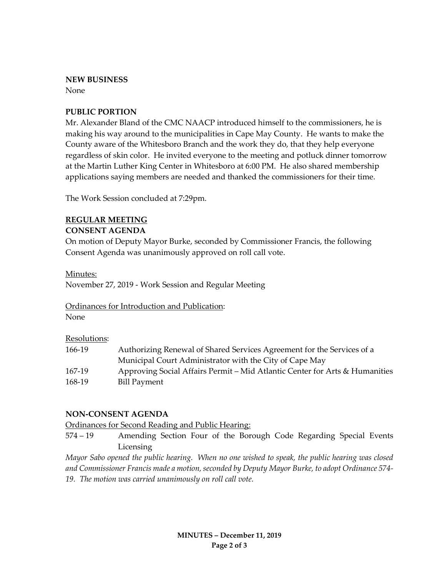#### **NEW BUSINESS**

None

## **PUBLIC PORTION**

Mr. Alexander Bland of the CMC NAACP introduced himself to the commissioners, he is making his way around to the municipalities in Cape May County. He wants to make the County aware of the Whitesboro Branch and the work they do, that they help everyone regardless of skin color. He invited everyone to the meeting and potluck dinner tomorrow at the Martin Luther King Center in Whitesboro at 6:00 PM. He also shared membership applications saying members are needed and thanked the commissioners for their time.

The Work Session concluded at 7:29pm.

# **REGULAR MEETING**

## **CONSENT AGENDA**

On motion of Deputy Mayor Burke, seconded by Commissioner Francis, the following Consent Agenda was unanimously approved on roll call vote.

#### Minutes:

November 27, 2019 - Work Session and Regular Meeting

#### Ordinances for Introduction and Publication:

None

#### Resolutions:

| 166-19 | Authorizing Renewal of Shared Services Agreement for the Services of a      |
|--------|-----------------------------------------------------------------------------|
|        | Municipal Court Administrator with the City of Cape May                     |
| 167-19 | Approving Social Affairs Permit – Mid Atlantic Center for Arts & Humanities |
| 168-19 | Bill Payment                                                                |

#### **NON-CONSENT AGENDA**

Ordinances for Second Reading and Public Hearing:

574 – 19 Amending Section Four of the Borough Code Regarding Special Events Licensing

*Mayor Sabo opened the public hearing. When no one wished to speak, the public hearing was closed and Commissioner Francis made a motion, seconded by Deputy Mayor Burke, to adopt Ordinance 574- 19. The motion was carried unanimously on roll call vote.*